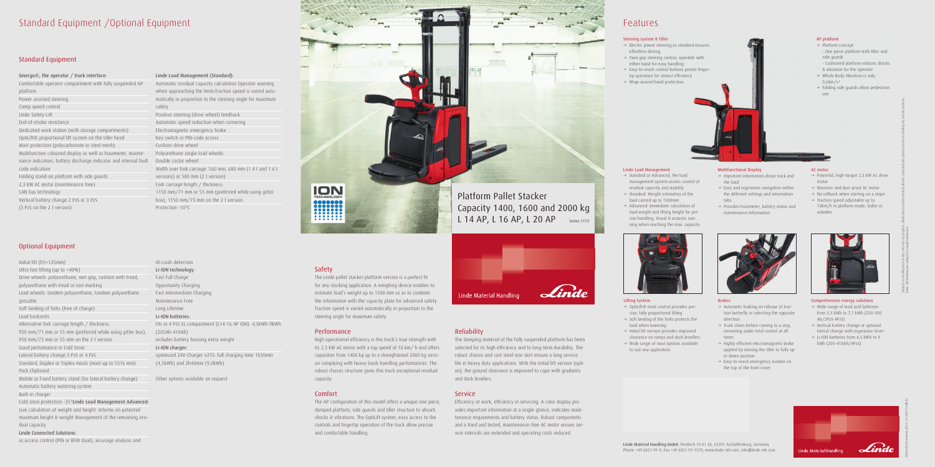# Standard Equipment /Optional Equipment

# Standard Equipment

### Sinergo®, the operator / truck interface:

Comfortable operator compartment with fully suspended AP platform Power assisted steering Creep speed control Linde Safety-Lift End-of-stroke resistance Dedicated work station (with storage compartments) OptiLift® proportional lift system on the tiller head Mast protection (polycarbonate or steel mesh) Multifunction coloured display as well as hourmeter, maintenance indication, battery discharge indicator and internal fault Double castor wheel code indication Folding stand-on platform with side guards 2,3 kW AC motor (maintenance free) CAN bus technology Vertical battery change 2 PzS or 3 PzS

(3 PzS on the 2 t version)

# Optional Equipment

Initial lift (h5=125mm) Ultra fast lifting (up to +40%) Drive wheels: polyurethane, wet grip, cushion with tread, polyurethane with tread or non marking Load wheels: tandem polyurethane, tandem polyurethane gresable Soft landing of forks (free of charge) Load backrests Alternative fork carriage length / thickness: 950 mm/71 mm or 55 mm (preferred while using gitter box), 950 mm/73 mm or 55 mm on the 2 t version Good performance in Cold Store Lateral battery change 3 PzS or 4 PzS Standard, Duplex or Triplex masts (mast up to 5316 mm) Pack Clipboard Mobile or Fixed battery stand (for lateral battery change) Automatic battery watering system Built-in charger Cold store protection -35°Linde Load Management Advanced: Live calculation of weight and height Informs on potential

maximum height & weight Management of the remaining residual capacity

# Linde Connected Solutions:

ac:access control (PIN or RFID Dual), an:usage analysis and

### Linde Load Management (Standard):

Automatic residual capacity calculation Operator warning when approaching the limitsTraction speed is varied automatically in proportion to the steering angle for maximum safety Positive steering (drive wheel) feedback Automatic speed reduction when cornering Electromagnetic emergency brake Key switch or PIN-code access Cushion drive wheel Polyurethane single load wheels Width over fork carriage: 560 mm, 680 mm (1.4 t and 1.6 t versions) or 580 mm (2 t version) Fork carriage length / thickness: 1150 mm/71 mm or 55 mm (preferred while using gitter box), 1150 mm/73 mm on the 2 t version Protection -10°C

- → OptiLift® mast control provides precise, fully proportional lifting  $\rightarrow$  Soft landing of the forks protects the
- load when lowering  $\rightarrow$  Initial lift version provides improved
- clearance on ramps and dock levellers
- $\rightarrow$  Wide range of mast options available to suit any application



- $\rightarrow$  Standard or Advanced, the load management system assists control of residual capacity and stability
- $\rightarrow$  Standard: Weight estimation of the load carried up to 1500mm
- $\rightarrow$  Advanced: Immediate calculation of load weight and lifting height for precise handling. Visual & acoustic warning when reaching the max. capacity.



optimized 24V-Charger v255: full charging time 1h30min (4,5kWh) and 2h40min (9,0kWh)

Other options available on request

# ION

- $\rightarrow$  Automatic braking on release of traction butterfly or selecting the opposite direction
- $\rightarrow$  Truck slows before coming to a stop, remaining under total control at all times
- $\rightarrow$  Highly efficient electromagnetic brake applied by moving the tiller to fully up or down position
- $\rightarrow$  Easy-to-reach emergency isolator on the top of the front cover



# Safety

- $\rightarrow$  Powerful, high-torque 2,3 kW AC drive motor
- $\rightarrow$  Moisture and dust-proof AC motor  $\rightarrow$  No rollback when starting on a slope
- $\rightarrow$  Traction speed adjustable up to
- 10km/h in platform mode, laden or unladen



The Linde pallet stacker platform version is a perfect fit for any stacking application. A weighing device enables to estimate load's weight up to 1500 mm so as to combine the information with the capacity plate for advanced safety. Traction speed is varied automatically in proportion to the steering angle for maximum safety.

- $\rightarrow$  Wide range of lead acid batteries from 3,5 kWh to 7,1 kWh (250-500 Ah/2PzS-4PzS)
- $\rightarrow$  Vertical battery change or optional lateral change with ergonomic lever
- $\rightarrow$  Li-ION batteries from 4,5 kWh to 9 kWh (205-410Ah/4PzS)

Lind Linde Material Handling

# Performance

AP platform  $\rightarrow$  Platform concept:

& vibration for the operator  $\rightarrow$  Whole Body Vibration is only

High operational efficiency is this truck's true strength with its 2,3 kW AC motor with a top speed of 10 km/ h and offers capacities from 1400 kg up to a strenghtened 2000 kg version complying with heavy loads handling performances. The robust chassis structure gives this truck exceptional residual capacity.

- $\rightarrow$  Important information about truck and the load
- $\rightarrow$  Easy and ergonomic navigation within the different settings and information tabs
- $\rightarrow$  Provides hourmeter, battery status and maintenance information

### Comfort

# Platform Pallet Stacker Capacity 1400, 1600 and 2000 kg L 14 AP, L 16 AP, L 20 AP Series 1173



The AP configuration of this model offers a unique one piece, damped platform, side guards and tiller structure to absorb shocks & vibrations. The OptiLift system, easy access to the controls and fingertip operation of the truck allow precise and comfortable handling.

# Reliability

The damping material of the fully suspended platform has been selected for its high efficiency and to long-term durability. The robust chassis and cast steel rear skirt ensure a long service life in heavy duty applications. With the initial lift version (option), the ground clearance is improved to cope with gradients and dock levelers.

# **Service**

Efficiency at work, efficiency in servicing. A color display provides important information at a single glance, indicates maintenance requirements and battery status. Robust components and a tried and tested, maintenance-free AC motor ensure service intervals are extended and operating costs reduced.



# Features





# Lifting System

# Linde Load Management

# Brakes

## AC motor

# Comprehensive energy solutions

Printed in Germany 423.e.3,5.0617.IndD.Ki

Subject to modification in the interest of progress. Illustrations and technical details could include options and not binding for actual constructions. All dimensions subject to usual tolerances.

- One piece platform with tiller and

side guards

- Cushioned platform reduces shocks

 $\rightarrow$  Folding side guards allow pedestrian

0,68m/s²

use

# Multifunctional Display

# Steering system & Tiller

- $\rightarrow$  Electric power steering as standard ensures effortless driving
- $\rightarrow$  Twin grip steering control, operable with either hand for easy handling
- $\rightarrow$  Easy-to-reach control buttons permit fingertip operation for utmost efficiency
- $\rightarrow$  Wrap-around hand protection